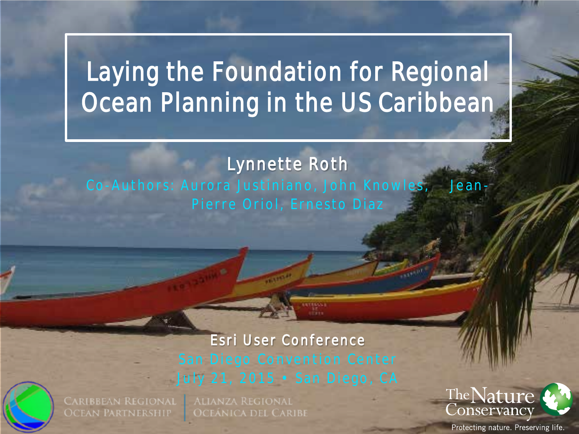# Laying the Foundation for Regional Ocean Planning in the US Caribbean

# Lynnette Roth Co-Authors: Aurora Justiniano, John Knowles, Jean-

Esri User Conference July 21, 2015 • San Diego, CA

**CARIBBEAN REGIONAL OCEAN PARTNERSHIP** 

**ALIANZA REGIONAL OCEÁNICA DEL CARIBE** 



Protecting nature. Preserving life.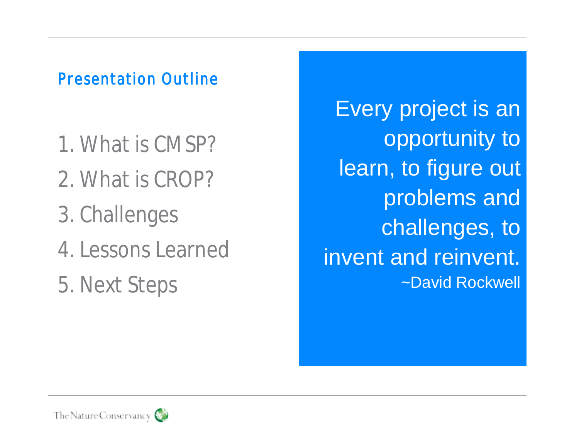#### Presentation Outline

- 1. What is CMSP? 2. What is CROP? 3. Challenges
- 4. Lessons Learned

5. Next Steps

Every project is an opportunity to learn, to figure out problems and challenges, to invent and reinvent. ~David Rockwell

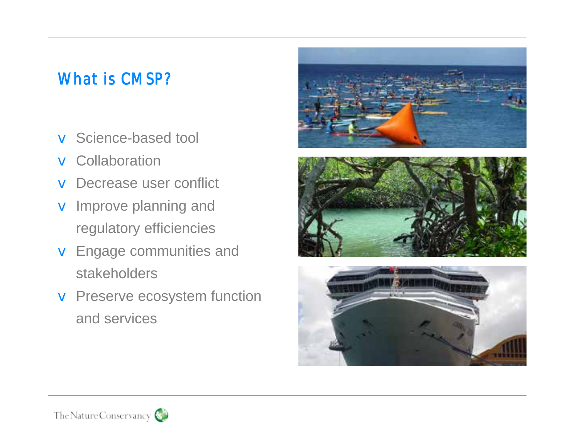#### What is CMSP?

- v Science-based tool
- v Collaboration
- v Decrease user conflict
- **v** Improve planning and regulatory efficiencies
- **v** Engage communities and stakeholders
- **v** Preserve ecosystem function and services









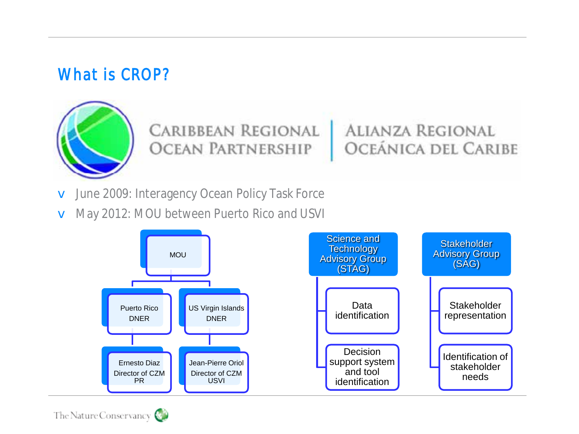#### What is CROP?



CARIBBEAN REGIONAL **OCEAN PARTNERSHIP** 

#### **ALIANZA REGIONAL** OCEÁNICA DEL CARIBE

- v June 2009: Interagency Ocean Policy Task Force
- v May 2012: MOU between Puerto Rico and USVI



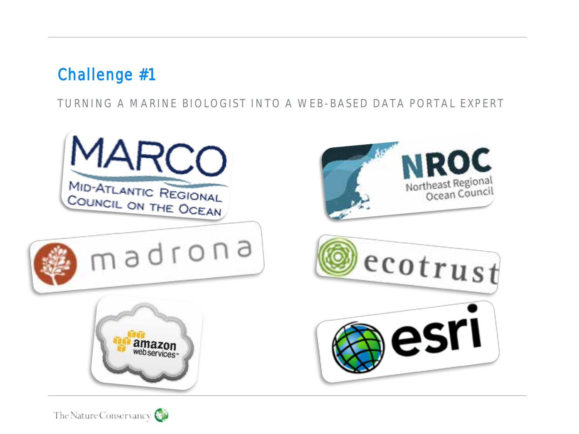TURNING A MARINE BIOLOGIST INTO A WEB - BASED DATA PORTAL EXPERT



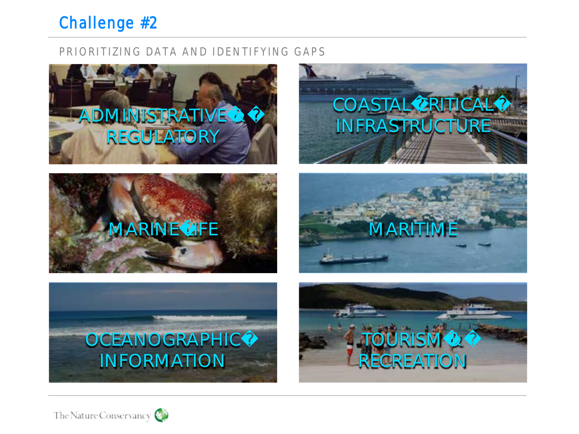#### PRIORITIZING DATA AND IDENTIFYING GAPS













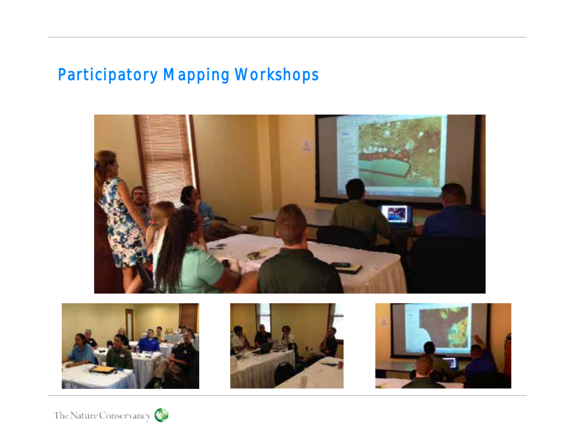#### Participatory Mapping Workshops









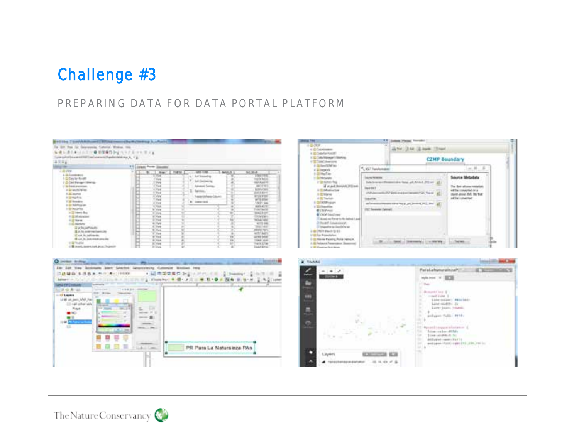#### PREPARING DATA FOR DATA PORTAL PLATFORM

| of Minimum                                    |                             |     |
|-----------------------------------------------|-----------------------------|-----|
| 计算机学 电电离自动设计算机<br>以清日本                        | 京中町 百万金                     |     |
| A GAN PALAMENTER CANADA AT A MARTIN AVE A LET |                             |     |
|                                               |                             |     |
| 131                                           |                             |     |
|                                               |                             |     |
| <b>JE VIER</b><br><b>CONTRACT</b>             | <b>Ballet Jit 1</b>         |     |
|                                               | ×                           | 地质光 |
| 1.0 Des le To                                 | <b>Javelra</b>              | Ì   |
| <b>CAI Elevage Cilitaria</b>                  |                             |     |
| Antony                                        | -<br>億                      |     |
| a la universitat                              | <b>British</b>              |     |
| L.E. month                                    |                             |     |
| a la martia.                                  |                             |     |
| 1 SC Modeling                                 | 1<br>٠<br><b>Instrument</b> |     |
| L.S.Whierm                                    |                             |     |
| In the share than                             |                             |     |
| a 22 April Reg.                               |                             |     |
| 1 G.Matingan                                  | <b>Service</b>              | 問題  |
|                                               |                             |     |
| <b>TRAIN</b>                                  | <b>ROSE</b>                 |     |
|                                               |                             |     |
|                                               |                             |     |
|                                               | <b>Send</b>                 | ij  |
|                                               | First Park                  |     |
|                                               |                             |     |
|                                               | -                           |     |
| AMERICAN PLACING                              | ×<br>×                      |     |









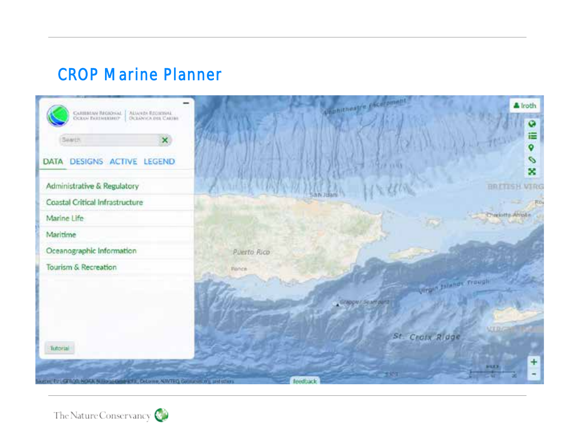#### CROP Marine Planner



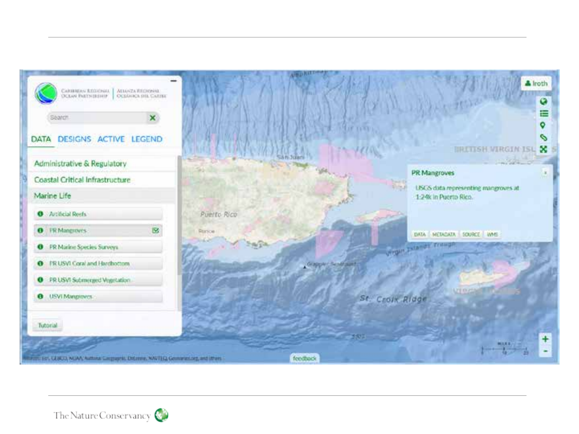

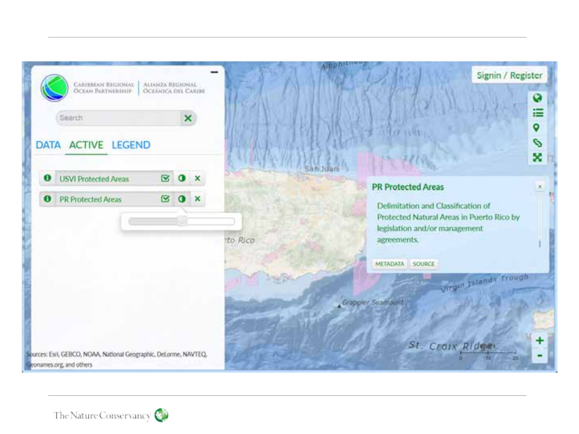



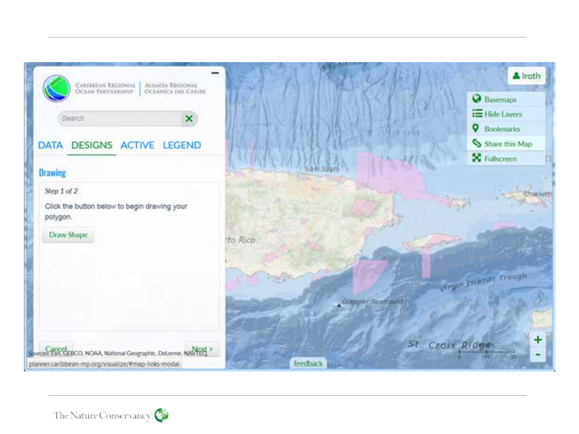



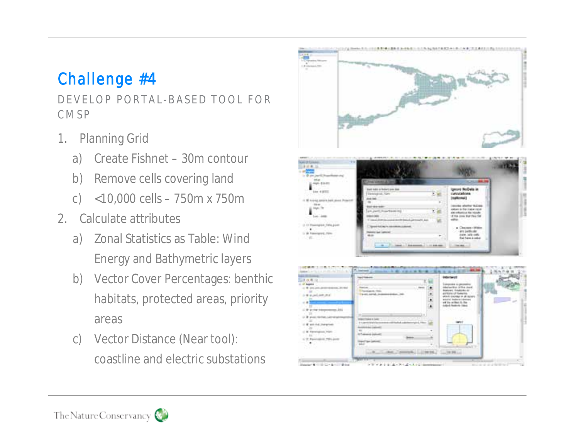#### DEVELOP PORTAL - BASED TOOL FOR CMSP

- 1. Planning Grid
	- a) Create Fishnet 30m contour
	- b) Remove cells covering land
	- c) <10,000 cells 750m x 750m
- 2. Calculate attributes
	- a) Zonal Statistics as Table: Wind Energy and Bathymetric layers
	- b) Vector Cover Percentages: benthic habitats, protected areas, priority areas
	- c) Vector Distance (Near tool): coastline and electric substations



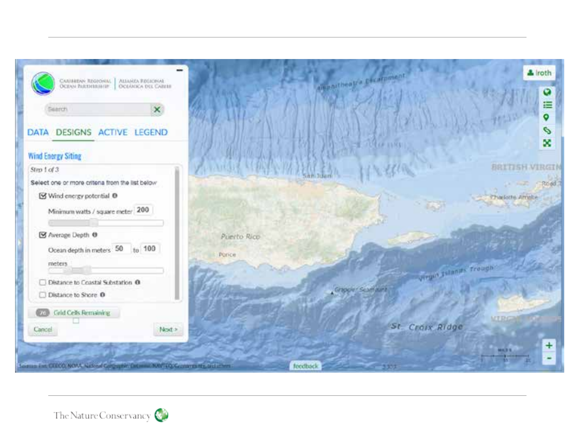

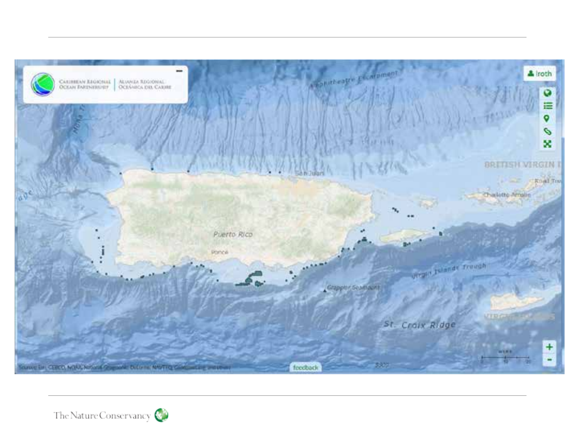

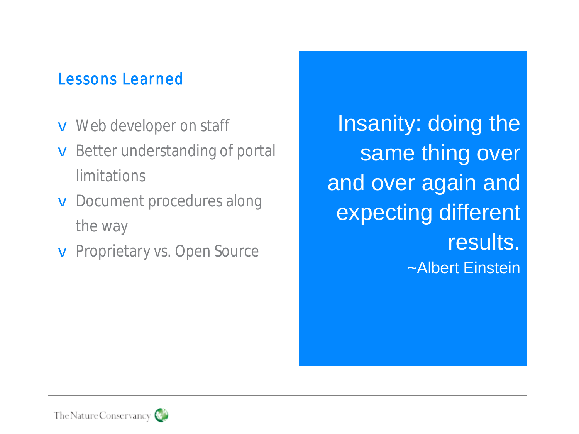#### Lessons Learned

- **v** Web developer on staff
- v Better understanding of portal limitations
- v Document procedures along the way
- **v** Proprietary vs. Open Source

Insanity: doing the same thing over and over again and expecting different results. ~Albert Einstein

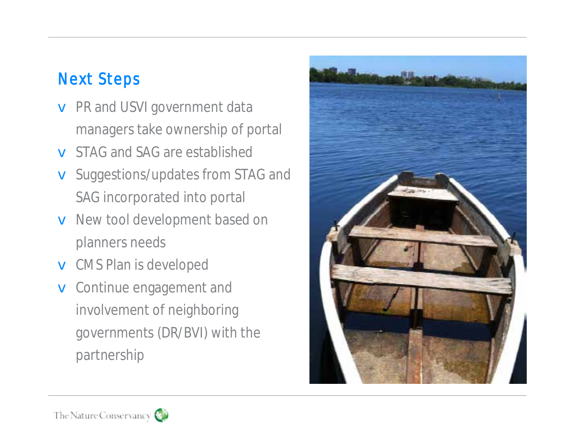### Next Steps

- **v** PR and USVI government data managers take ownership of portal
- **v** STAG and SAG are established
- v Suggestions/updates from STAG and SAG incorporated into portal
- **v** New tool development based on planners needs
- **v** CMS Plan is developed
- **v** Continue engagement and involvement of neighboring governments (DR/BVI) with the partnership